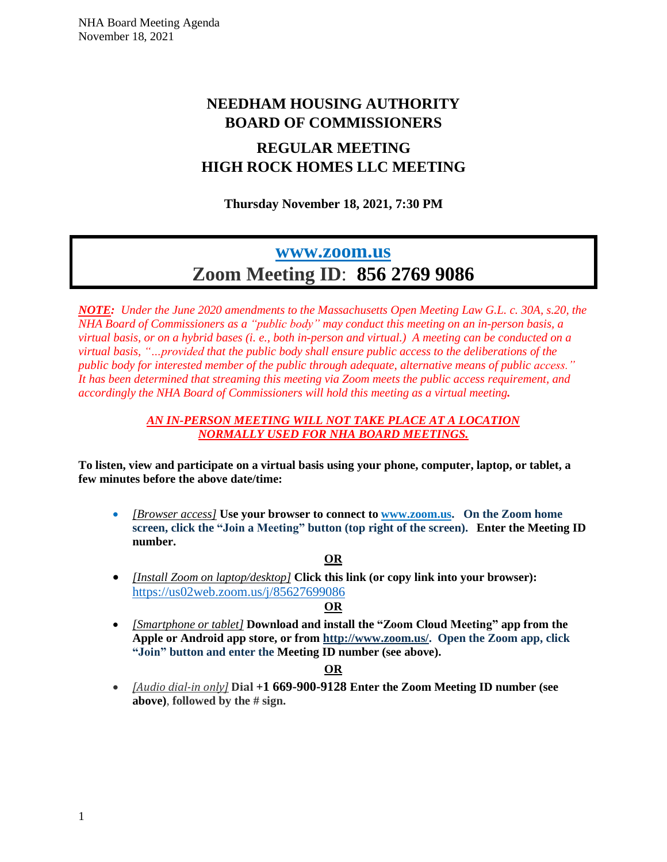# **NEEDHAM HOUSING AUTHORITY BOARD OF COMMISSIONERS**

## **REGULAR MEETING HIGH ROCK HOMES LLC MEETING**

### **Thursday November 18, 2021, 7:30 PM**

# **[www.zoom.us](http://www.zoom.us/) Zoom Meeting ID**: **856 2769 9086**

*NOTE: Under the June 2020 amendments to the Massachusetts Open Meeting Law G.L. c. 30A, s.20, the NHA Board of Commissioners as a "public body" may conduct this meeting on an in-person basis, a* virtual basis, or on a hybrid bases (i, e., both in-person and virtual.) A meeting can be conducted on a *virtual basis, "…provided that the public body shall ensure public access to the deliberations of the public body for interested member of the public through adequate, alternative means of public access." It has been determined that streaming this meeting via Zoom meets the public access requirement, and accordingly the NHA Board of Commissioners will hold this meeting as a virtual meeting.*

#### *AN IN-PERSON MEETING WILL NOT TAKE PLACE AT A LOCATION NORMALLY USED FOR NHA BOARD MEETINGS.*

**To listen, view and participate on a virtual basis using your phone, computer, laptop, or tablet, a few minutes before the above date/time:**

• *[Browser access]* **Use your browser to connect to [www.zoom.us.](http://www.zoom.us/) On the Zoom home screen, click the "Join a Meeting" button (top right of the screen). Enter the Meeting ID number.**

#### **OR**

• *[Install Zoom on laptop/desktop]* **Click this link (or copy link into your browser):**  [https://us02web.zoom.us/j/8](https://us02web.zoom.us/j/5)5627699086

#### **OR**

• *[Smartphone or tablet]* **Download and install the "Zoom Cloud Meeting" app from the Apple or Android app store, or from [http://www.zoom.us/.](http://www.zoom.us/) Open the Zoom app, click "Join" button and enter the Meeting ID number (see above).**

#### **OR**

• *[Audio dial-in only]* **Dial +1 669-900-9128 Enter the Zoom Meeting ID number (see above)**, **followed by the # sign.**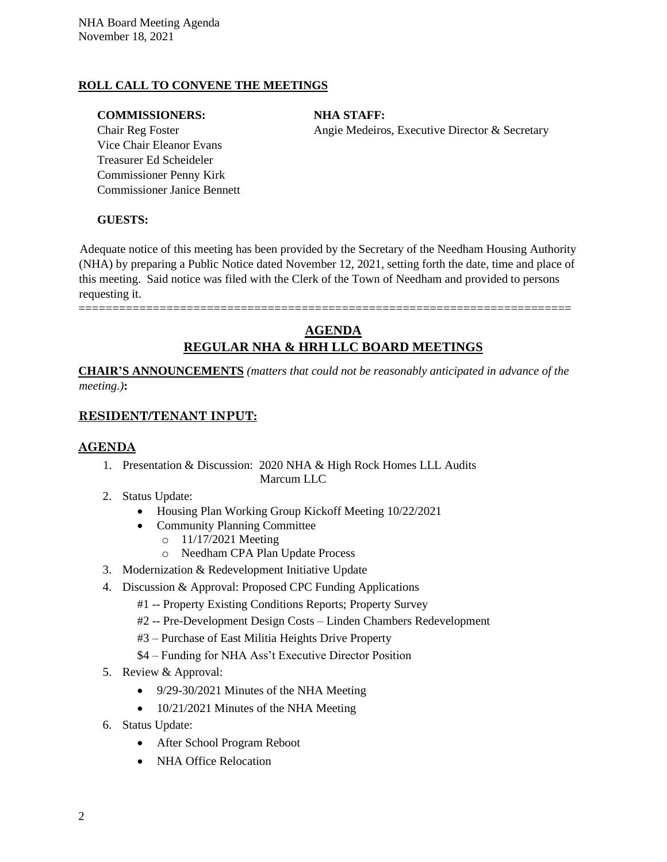#### **ROLL CALL TO CONVENE THE MEETINGS**

#### **COMMISSIONERS: NHA STAFF:**

Vice Chair Eleanor Evans Treasurer Ed Scheideler Commissioner Penny Kirk Commissioner Janice Bennett

Chair Reg Foster **Angie Medeiros, Executive Director & Secretary** 

#### **GUESTS:**

Adequate notice of this meeting has been provided by the Secretary of the Needham Housing Authority (NHA) by preparing a Public Notice dated November 12, 2021, setting forth the date, time and place of this meeting. Said notice was filed with the Clerk of the Town of Needham and provided to persons requesting it.

=========================================================================

## **AGENDA REGULAR NHA & HRH LLC BOARD MEETINGS**

**CHAIR'S ANNOUNCEMENTS** *(matters that could not be reasonably anticipated in advance of the meeting.)***:**

#### **RESIDENT/TENANT INPUT:**

#### **AGENDA**

- 1. Presentation & Discussion: 2020 NHA & High Rock Homes LLL Audits Marcum LLC
- 2. Status Update:
	- Housing Plan Working Group Kickoff Meeting 10/22/2021
	- Community Planning Committee
		- o 11/17/2021 Meeting
		- o Needham CPA Plan Update Process
- 3. Modernization & Redevelopment Initiative Update
- 4. Discussion & Approval: Proposed CPC Funding Applications
	- #1 -- Property Existing Conditions Reports; Property Survey
		- #2 -- Pre-Development Design Costs Linden Chambers Redevelopment
		- #3 Purchase of East Militia Heights Drive Property
		- \$4 Funding for NHA Ass't Executive Director Position
- 5. Review & Approval:
	- 9/29-30/2021 Minutes of the NHA Meeting
	- 10/21/2021 Minutes of the NHA Meeting
- 6. Status Update:
	- After School Program Reboot
	- NHA Office Relocation